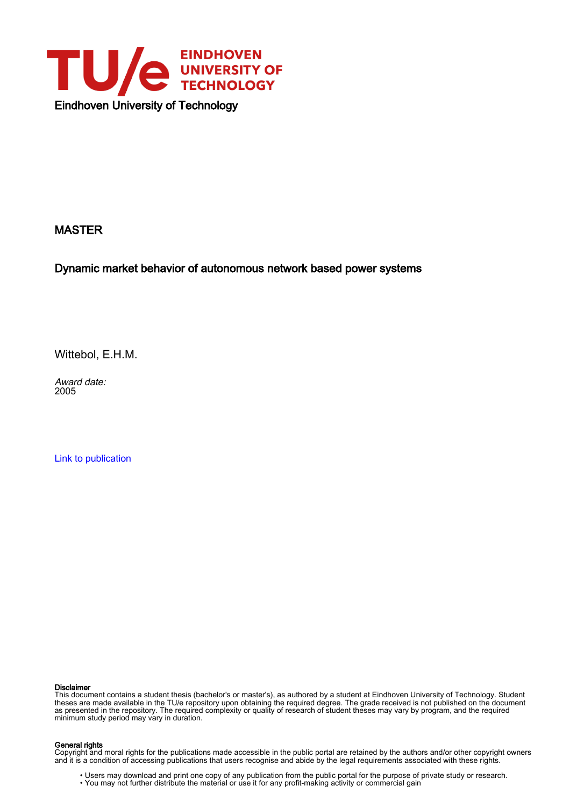

# MASTER

Dynamic market behavior of autonomous network based power systems

Wittebol, E.H.M.

Award date: 2005

[Link to publication](https://research.tue.nl/en/studentTheses/237f6a86-f252-4d89-b623-5facc3ab61c9)

#### Disclaimer

This document contains a student thesis (bachelor's or master's), as authored by a student at Eindhoven University of Technology. Student theses are made available in the TU/e repository upon obtaining the required degree. The grade received is not published on the document as presented in the repository. The required complexity or quality of research of student theses may vary by program, and the required minimum study period may vary in duration.

#### General rights

Copyright and moral rights for the publications made accessible in the public portal are retained by the authors and/or other copyright owners and it is a condition of accessing publications that users recognise and abide by the legal requirements associated with these rights.

• Users may download and print one copy of any publication from the public portal for the purpose of private study or research.<br>• You may not further distribute the material or use it for any profit-making activity or comm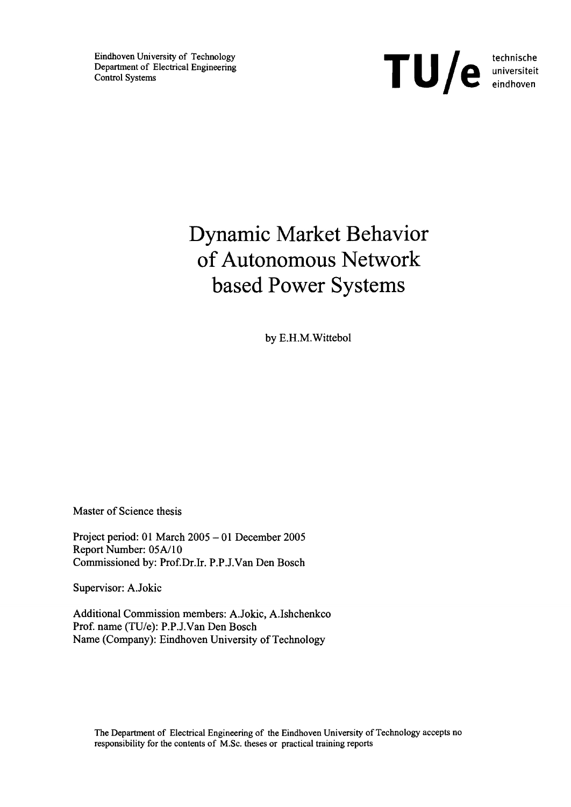Eindhoven University of Technology Department of Electrical Engineering



universiteit eindhoven

# **Dynamic Market Behavior of Autonomous Network based Power Systems**

by E.H.M.Wittebol

Master of Science thesis

Project period: 01 March 2005 - 01 December 2005 Report Number: 05A/I0 Commissioned by: Prof.Dr.Ir. P.P.IVan Den Bosch

Supervisor: A.Jokic

Additional Commission members: A.Jokic, A.Ishchenkco Prof. name (TU/e): P.P.J.Van Den Bosch Name (Company): Eindhoven University of Technology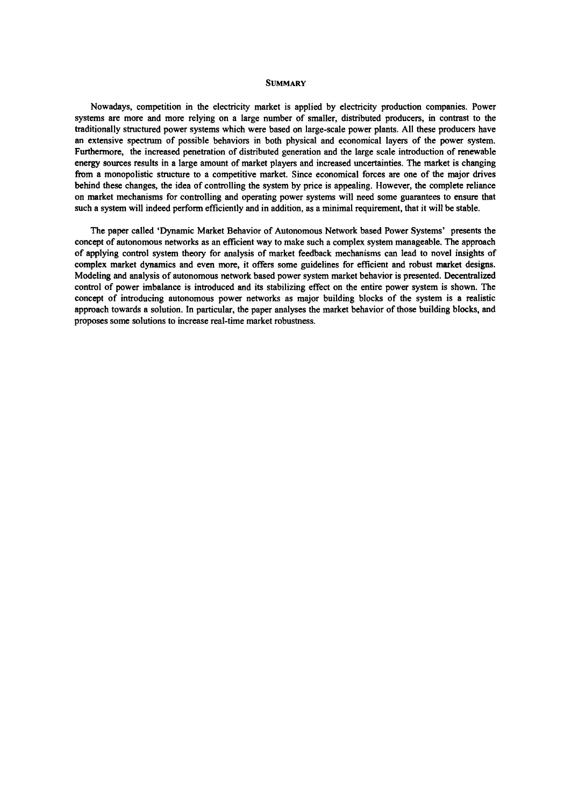#### **SUMMARY**

Nowadays, competition in the electricity market is applied by electricity production companies. Power systems are more and more relying on a large number of smaller, distributed producers, in contrast to the traditionally structured power systems which were based on large-scale power plants. All these producers have an extensive spectrum of possible behaviors in both physical and economical layers of the power system. Furthermore, the increased penetration of distributed generation and the large scale introduction of renewable energy sources results in a large amount of market players and increased uncertainties. The market is changing from a monopolistic structure to a competitive market. Since economical forces are one of the major drives behind these changes, the idea of controlling the system by price is appealing. However, the complete reliance on market mechanisms for controlling and operating power systems will need some guarantees to ensure that such a system will indeed perform efficiently and in addition, as a minimal requirement, that it will be stable.

The paper called 'Dynamic Market Behavior of Autonomous Network based Power Systems' presents the concept of autonomous networks as an efficient way to make such a complex system manageable. The approach of applying control system theory for analysis of market feedback mechanisms can lead to novel insights of complex market dynamics and even more, it offers some guidelines for efficient and robust market designs. Modeling and analysis of autonomous network based power system market behavior is presented. Decentralized control of power imbalance is introduced and its stabilizing effect on the entire power system is shown. The concept of introducing autonomous power networks as major building blocks of the system is a realistic approach towards a solution. In particular, the paper analyses the market behavior ofthose building blocks, and proposes some solutions to increase real-time market robustness.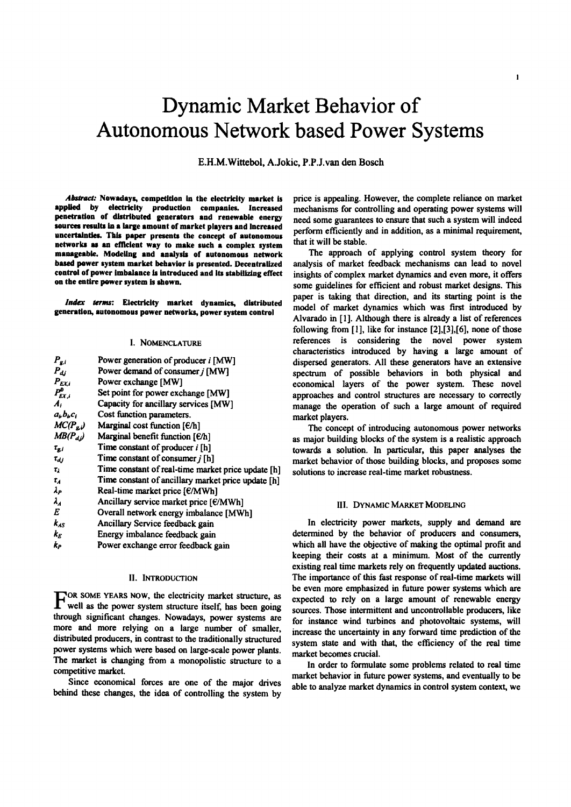# Dynamic Market Behavior of Autonomous Network based Power Systems

E.H.M.Wittebol, A.Jokie, P.P.J.van den Boseh

Abstract: Nowadays, competition in the electricity market is applied by electricity producdon companies. Increased penetration of distributed generators and renewable energy sources results in a large amount of market players and Increased uncertainties. This paper presents the concept of autonomous networks as an efficient way to make such a complex system manageable. Modeling and analysis of autonomous network based power system market bebavlor Is presented. Decentralized control of power imbalance is introduced and Its stabilizing effect on the entire power system is shown.

*Index terms*: Electricity market dynamics, distributed generation, autonomous power networks, power system control

#### I. NOMENCLATURE

| $P_{g,i}$                        | Power generation of producer <i>i</i> [MW]         |
|----------------------------------|----------------------------------------------------|
| $P_{d,j}$                        | Power demand of consumer <i>j</i> [MW]             |
| $P_{EX,i}$                       | Power exchange [MW]                                |
| $P_{EX,i}^0$                     | Set point for power exchange [MW]                  |
| A,                               | Capacity for ancillary services [MW]               |
| $a_{b}b_{b}c_{i}$                | Cost function parameters.                          |
| $MC(P_{\rm g})$                  | Marginal cost function $[E/h]$                     |
| $MB(P_{d,i})$                    | Marginal benefit function $[€/h]$                  |
| $\tau_{\rm z}$                   | Time constant of producer i [h]                    |
| $\tau_{d,i}$                     | Time constant of consumer $j$ [h]                  |
| $\tau_1$                         | Time constant of real-time market price update [h] |
| τ,                               | Time constant of ancillary market price update [h] |
| λp                               | Real-time market price $[\epsilon/MWh]$            |
| $\lambda_{\scriptscriptstyle A}$ | Ancillary service market price [€/MWh]             |
| E                                | Overall network energy imbalance [MWh]             |
| $k_{AS}$                         | Ancillary Service feedback gain                    |
| $k_F$                            | Energy imbalance feedback gain                     |
| kр                               | Power exchange error feedback gain                 |
|                                  |                                                    |

#### II. INTRODUCTION

FOR SOME YEARS NOW, the electricity market structure, as well as the power system structure itself, has been going through significant changes. Nowadays, power systems are more and more relying on a large number of smaller, distributed producers, in contrast to the traditionally structured power systems which were based on large-scale power plants. The market is changing from a monopolistic structure to a competitive market.

Since economical forces are one of the major drives behind these changes, the idea of controlling the system by price is appealing. However, the complete reliance on market mechanisms for controlling and operating power systems will need some guarantees to ensure that such a system will indeed perform efficiently and in addition, as a minimal requirement, that it will be stable.

The approach of applying control system theory for analysis of market feedback mechanisms can lead to novel insights of complex market dynamics and even more, it offers some guidelines for efficient and robust market designs. This paper is taking that direction, and its starting point is the model of market dynamics which was first introduced by Alvarado in [1]. Although there is already a list of references following from [1], like for instance [2],[3],[6], none of those references is considering the novel power system characteristics introduced by having a large amount of dispersed generators. All these generators have an extensive spectrum of possible behaviors in both physical and economical layers of the power system. These novel approaches and control structures are necessary to correctly manage the operation of such a large amount of required market players.

The concept of introducing autonomous power networks as major building blocks of the system is a realistic approach towards a solution. In particular, this paper analyses the market behavior of those building blocks, and proposes some solutions to increase real-time market robustness.

## III. DYNAMIC MARKET MODELING

In electricity power markets, supply and demand are determined by the behavior of producers and consumers, which all have the objective of making the optimal profit and keeping their costs at a minimum. Most of the currently existing real time markets rely on frequently updated auctions. The importance of this fast response of real-time markets will be even more emphasized in future power systems which are expected to rely on a large amount of renewable energy sources. Those intermittent and uncontrollable producers, like for instance wind turbines and photovoltaic systems, will increase the uncertainty in any forward time prediction of the system state and with that, the efficiency of the real time market becomes crucial.

In order to formulate some problems related to real time market behavior in future power systems, and eventually to be able to analyze market dynamics in control system context, we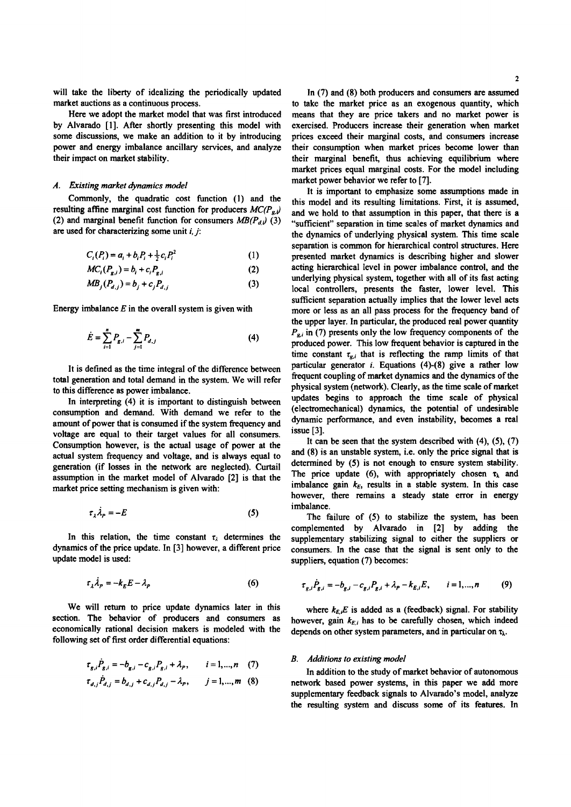will take the liberty of idealizing the periodically updated market auctions as a continuous process.

Here we adopt the market model that was first introduced by Alvarado [I]. After shortly presenting this model with some discussions, we make an addition to it by introducing power and energy imbalance ancillary services, and analyze their impact on market stability.

## *A. Existing market dynamics model*

Commonly, the quadratic cost function (I) and the resulting affine marginal cost function for producers  $MC(P_{g,j})$ (2) and marginal benefit function for consumers  $MB(P_d)$  (3) are used for characterizing some unit  $i, j$ :

$$
C_i(P_i) = a_i + b_i P_i + \frac{1}{2} c_i P_i^2
$$
 (1)

$$
MC_i(P_{g,i}) = b_i + c_i P_{g,i} \tag{2}
$$

$$
MB_j(P_{d,j}) = b_j + c_j P_{d,j}
$$
 (3)

Energy imbalance  $E$  in the overall system is given with

$$
\dot{E} = \sum_{i=1}^{n} P_{g,i} - \sum_{j=1}^{m} P_{d,j} \tag{4}
$$

It is defined as the time integral of the difference between total generation and total demand in the system. We will refer to this difference as power imbalance.

In interpreting (4) it is important to distinguish between consumption and demand. With demand we refer to the amount of power that is consumed if the system frequency and voltage are equal to their target values for all consumers. Consumption however, is the actual usage of power at the actual system frequency and voltage, and is always equal to generation (if losses in the network are neglected). Curtail assumption in the market model of Alvarado [2] is that the market price setting mechanism is given with:

$$
\tau_{\lambda} \lambda_{P} = -E \tag{5}
$$

In this relation, the time constant  $\tau_{\lambda}$  determines the dynamics of the price update. In [3] however, a different price update model is used:

$$
\tau_{\lambda}\lambda_{P} = -k_{E}E - \lambda_{P} \tag{6}
$$

We will return to price update dynamics later in this section. The behavior of producers and consumers as economically rational decision makers is modeled with the following set of first order differential equations:

$$
\tau_{g,i} \dot{P}_{g,j} = -b_{g,i} - c_{g,i} P_{g,i} + \lambda_P, \qquad i = 1, ..., n \quad (7)
$$
  

$$
\tau_{d,j} \dot{P}_{d,j} = b_{d,j} + c_{d,j} P_{d,j} - \lambda_P, \qquad j = 1, ..., m \quad (8)
$$

In (7) and (8) both producers and consumers are assumed to take the market price as an exogenous quantity, which means that they are price takers and no market power is exercised. Producers increase their generation when market prices exceed their marginal costs, and consumers increase their consumption when market prices become lower than their marginal benefit, thus achieving equilibrium where market prices equal marginal costs. For the model including market power behavior we refer to [7].

It is important to emphasize some assumptions made in this model and its resulting limitations. First, it is assumed, and we hold to that assumption in this paper, that there is a "sufficient" separation in time scales of market dynamics and the dynamics of underlying physical system. This time scale separation is common for hierarchical control structures. Here presented market dynamics is describing higher and slower acting hierarchical level in power imbalance control, and the underlying physical system, together with all of its fast acting local controllers, presents the faster, lower level. This sufficient separation actualIy implies that the lower level acts more or less as an alI pass process for the frequency band of the upper layer. In particular, the produced real power quantity  $P_{g,i}$  in (7) presents only the low frequency components of the produced power. This low frequent behavior is captured in the time constant  $\tau_{g,i}$  that is reflecting the ramp limits of that particular generator  $i$ . Equations (4)-(8) give a rather low frequent coupling of market dynamics and the dynamics of the physical system (network). Clearly, as the time scale of market updates begins to approach the time scale of physical (electromechanical) dynamics, the potential of undesirable dynamic performance, and even instability, becomes a real issue [3].

It can be seen that the system described with  $(4)$ ,  $(5)$ ,  $(7)$ and (8) is an unstable system, i.e. only the price signal that is determined by (5) is not enough to ensure system stability. The price update (6), with appropriately chosen  $\tau_{\lambda}$  and imbalance gain  $k_E$ , results in a stable system. In this case however, there remains a steady state error in energy imbalance.

The failure of (5) to stabilize the system, has been complemented by Alvarado in [2] by adding the supplementary stabilizing signal to either the suppliers or consumers. In the case that the signal is sent only to the suppliers, equation (7) becomes:

(6) 
$$
\tau_{g,i} \dot{P}_{g,i} = -b_{g,i} - c_{g,i} P_{g,i} + \lambda_P - k_{E,i} E, \qquad i = 1,...,n
$$
 (9)

where  $k_{E,i}E$  is added as a (feedback) signal. For stability however, gain  $k_{E,i}$  has to be carefully chosen, which indeed depends on other system parameters, and in particular on  $\tau_{\lambda}$ .

#### *B. Additions to existing model*

In addition to the study of market behavior of autonomous network based power systems, in this paper we add more supplementary feedback signals to Alvarado's model, analyze the resulting system and discuss some of its features. In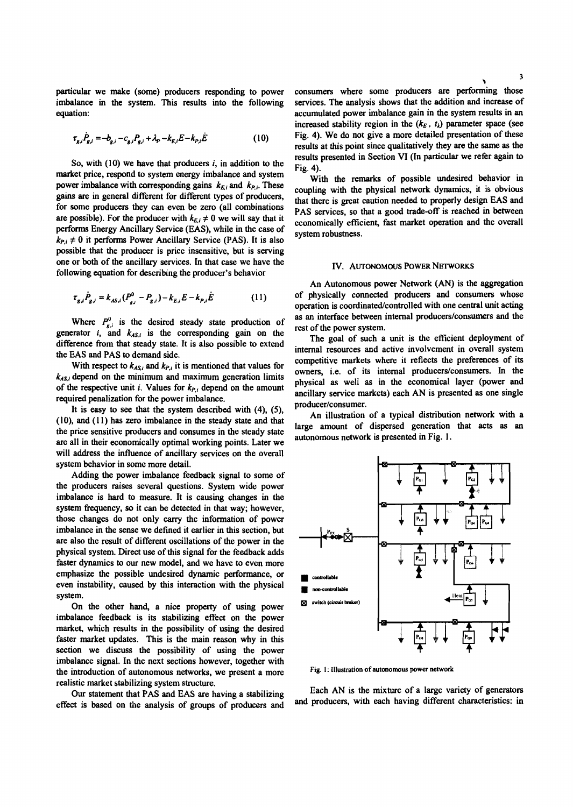particular we make (some) producers responding to power imbalance in the system. This results into the following equation:

$$
\tau_{g,i} \dot{P}_{g,i} = -b_{g,i} - c_{g,i} P_{g,i} + \lambda_p - k_{E,i} E - k_{P,i} \dot{E}
$$
 (10)

So, with  $(10)$  we have that producers *i*, in addition to the market price, respond to system energy imbalance and system power imbalance with corresponding gains  $k_{E,i}$  and  $k_{P,i}$ . These gams are in general different for different types of producers, for some producers they can even be zero (all combinations are possible). For the producer with  $k_{E,i} \neq 0$  we will say that it perfonns Energy Ancillary Service (EAS), while in the case of  $k_{Pi} \neq 0$  it performs Power Ancillary Service (PAS). It is also possible that the producer is price insensitive, but is serving one or both of the ancillary services. In that case we have the following equation for describing the producer's behavior

$$
\tau_{g,i} \dot{P}_{g,i} = k_{AS,i} (P_{g,i}^0 - P_{g,i}) - k_{E,i} E - k_{P,i} \dot{E}
$$
 (11)

Where  $P_{g,i}^0$  is the desired steady state production of generator *i*, and  $k_{AS,i}$  is the corresponding gain on the difference from that steady state. It is also possible to extend the EAS and PAS to demand side.

With respect to  $k_{AS,i}$  and  $k_{P,i}$  it is mentioned that values for  $k_{4S}$ ; depend on the minimum and maximum generation limits of the respective unit *i*. Values for  $k_{P,i}$  depend on the amount required penalization for the power imbalance.

It is easy to see that the system described with (4), (5), (10), and (11) has zero imbalance in the steady state and that the price sensitive producers and consumes in the steady state are all in their economically optimal working points. Later we will address the influence of ancillary services on the overall system behavior in some more detail.

Adding the power imbalance feedback signal to some of the producers raises several questions. System wide power imbalance is hard to measure. It is causing changes in the system frequency, so it can be detected in that way; however, those changes do not only carry the information of power imbalance in the sense we defined it earlier in this section, but are also the result of different oscillations of the power in the physical system. Direct use of this signal for the feedback adds faster dynamics to our new model, and we have to even more emphasize the possible undesired dynamic performance, or even instability, caused by this interaction with the physical system.

. On the other hand, a nice property of using power imbalance feedback is its stabilizing effect on the power market, which results in the possibility of using the desired faster market updates. This is the main reason why in this section we discuss the possibility of using the power imbalance signal. In the next sections however, together with the introduction of autonomous networks, we present a more realistic market stabilizing system structure.

Our statement that PAS and EAS are having a stabilizing effect is based on the analysis of groups of producers and

, consumers where some producers are performing those services. The analysis shows that the addition and increase of accumulated power imbalance gain in the system results in an increased stability region in the  $(k_E, t_i)$  parameter space (see Fig. 4). We do not give a more detailed presentation of these results at this point since qualitatively they are the same as the results presented in Section VI (In particular we refer again to Fig. 4).

With the remarks of possible undesired behavior in coupling with the physical network dynamics, it is obvious that there is great caution needed to properly design EAS and PAS services, so that a good trade-off is reached in between economically efficient, fast market operation and the overall system robustness.

#### IV. AUTONOMOUS POWER NETWORKS

An Autonomous power Network (AN) is the aggregation of physically connected producers and consumers whose operation is coordinated/controlled with one central unit acting as an interface between internal producers/consumers and the rest of the power system.

The goal of such a unit is the efficient deployment of internal resources and active involvement in overall system competitive markets where it reflects the preferences of its owners, i.e. of its internal producers/consumers. In the physical as well as in the economical layer (power and ancillary service markets) each AN is presented as one single producer/consumer.

An illustration of a typical distribution network with a large amount of dispersed generation that acts as an autonomous network is presented in Fig. 1.



Fig. I: Illustration of autonomous power network

Each AN is the mixture of a large variety of generators and producers, with each having different characteristics: in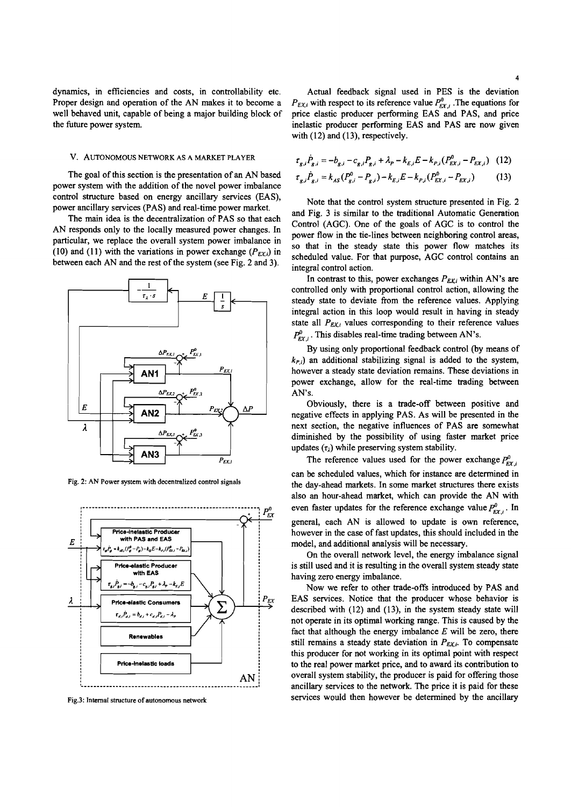dynamics, in efficiencies and costs, in controllability etc. Proper design and operation of the AN makes it to become a well behaved unit, capable of being a major building block of the future power system.

# V. AUTONOMOUS NETWORK AS A MARKET PLAYER

The goal of this section is the presentation of an AN based power system with the addition of the novel power imbalance control structure based on energy ancillary services (EAS), power ancillary services (PAS) and real-time power market.

The main idea is the decentralization of PAS so that each AN responds only to the locally measured power changes. In particular, we replace the overall system power imbalance in (10) and (11) with the variations in power exchange  $(P_{EX,i})$  in between each AN and the rest of the system (see Fig. 2 and 3).



Fig. 2: AN Power system with decentralized control signals



Fig.3: Internal structure of autonomous network

Actual feedback signal used in PES is the deviation  $P_{EX,i}$  with respect to its reference value  $P_{EX,i}^0$ . The equations for price elastic producer performing EAS and PAS, and price inelastic producer performing EAS and PAS are now given with (12) and (13), respectively.

$$
\tau_{g,i} \dot{P}_{g,i} = -b_{g,i} - c_{g,i} P_{g,i} + \lambda_P - k_{E,i} E - k_{P,i} (P_{EX,i}^0 - P_{EX,i}) \quad (12)
$$
  

$$
\tau_{g,i} \dot{P}_{g,i} = k_{AS} (P_{g,i}^0 - P_{g,i}) - k_{E,i} E - k_{P,i} (P_{XY,i}^0 - P_{XY,i}) \quad (13)
$$

Note that the control system structure presented in Fig. 2 and Fig. 3 is similar to the traditional Automatic Generation Control (AGC). One of the goals of AGC is to control the power flow in the tie-lines between neighboring control areas, so that in the steady state this power flow matches its scheduled value. For that purpose, AGC control contains an integral control action.

In contrast to this, power exchanges  $P_{EX,i}$  within AN's are controlled only with proportional control action, allowing the steady state to deviate from the reference values. Applying integral action in this loop would result in having in steady state all  $P_{EX,i}$  values corresponding to their reference values  $P_{EX,i}^{0}$ . This disables real-time trading between AN's.

By using only proportional feedback control (by means of  $k_{P,i}$ ) an additional stabilizing signal is added to the system, however a steady state deviation remains. These deviations in power exchange, allow for the real-time trading between AN's.

Obviously, there is a trade-off between positive and negative effects in applying PAS. As will be presented in the next section, the negative influences of PAS are somewhat diminished by the possibility of using faster market price updates  $(\tau_{\lambda})$  while preserving system stability.

The reference values used for the power exchange  $P_{EX,i}^0$ can be scheduled values, which for instance are determined in the day-ahead markets. In some market structures there exists also an hour-ahead market, which can provide the AN with even faster updates for the reference exchange value  $P_{ex}^0$ . In general, each AN is allowed to update is own reference, however in the case of fast updates, this should included in the model, and additional analysis will be necessary.

On the overall network level, the energy imbalance signal is still used and it is resulting in the overall system steady state having zero energy imbalance.

Now we refer to other trade-offs introduced by PAS and EAS services. Notice that the producer whose behavior is described with (12) and (13), in the system steady state will not operate in its optimal working range. This is caused by the fact that although the energy imbalance  $E$  will be zero, there still remains a steady state deviation in  $P_{EX,i}$ . To compensate this producer for not working in its optimal point with respect to the real power market price, and to award its contribution to overall system stability, the producer is paid for offering those ancillary services to the network. The price it is paid for these services would then however be determined by the ancillary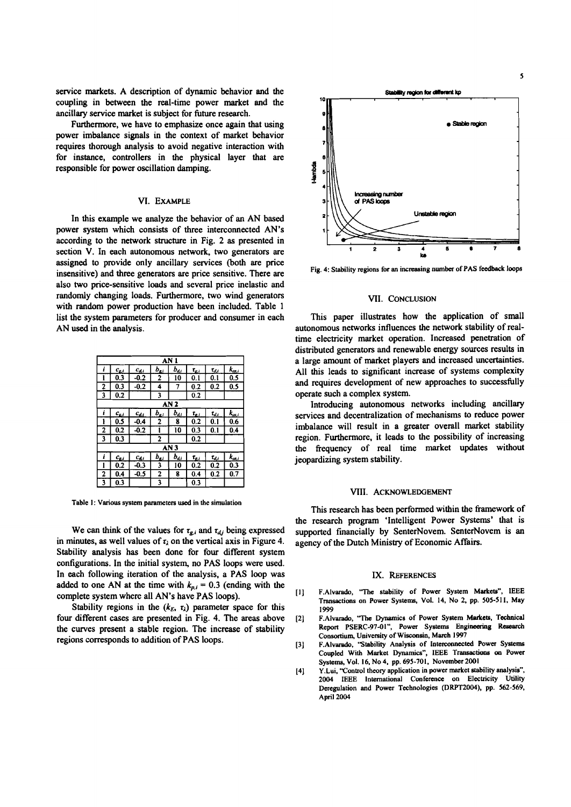service markets. A description of dynamic behavior and the coupling in between the real-time power market and the ancillary service market is subject for future research.

Furthermore, we have to emphasize once again that using power imbalance signals in the context of market behavior requires thorough analysis to avoid negative interaction with for instance, controllers in the physical layer that are responsible for power oscillation damping.

#### VI. EXAMPLE

In this example we analyze the behavior of an AN based power system which consists of three interconnected AN's according to the network structure in Fig. 2 as presented in section V. In each autonomous network, two generators are assigned to provide only ancillary services (both are price insensitive) and three generators are price sensitive. There are also two price-sensitive loads and several price inelastic and randomly changing loads. Furthermore, two wind generators with random power production have been included. Table 1 list the system parameters for producer and consumer in each AN used in the analysis.

| AN 1 |                    |           |                     |              |                  |              |              |  |  |
|------|--------------------|-----------|---------------------|--------------|------------------|--------------|--------------|--|--|
| i    | $c_{\mathbf{r},i}$ | $c_{di}$  | $b_{kl}$            | $b_{d\perp}$ | $\tau_{\rm g,i}$ | $\tau_{d,i}$ | $k_{a\mu}$   |  |  |
| ı    | 0.3                | $-0.2$    | 2                   | 10           | 0.1              | 0.1          | 0.5          |  |  |
| 2    | 0.3                | $-0.2$    | 4                   | 7            | 0.2              | 0.2          | 0.5          |  |  |
| 3    | 0.2                |           | 3                   |              | 0.2              |              |              |  |  |
| AN 2 |                    |           |                     |              |                  |              |              |  |  |
| i    | $c_{2,i}$          | $c_{di}$  | $b_{\underline{L}}$ | $b_{di}$     | $\tau_{\rm e,i}$ | $\tau_{d,i}$ | $k_{\rm as}$ |  |  |
|      | 0.5                | $-0.4$    | 2                   | 8            | 0.2              | 0.1          | 0.6          |  |  |
| 2    | 0.2                | $-0.2$    | 1                   | 10           | 0.3              | 0.1          | 0.4          |  |  |
| 3    | 0.3                |           | 2                   |              | 0.2              |              |              |  |  |
| AN 3 |                    |           |                     |              |                  |              |              |  |  |
| i    | $c_{\rm z,i}$      | $c_{d,i}$ | $b_{nl}$            | $b_{d,i}$    | $\tau_{\rm g,i}$ | $\tau_{d,i}$ | $k_{a,i}$    |  |  |
|      | 0.2                | $-0.3$    | 3                   | 10           | 0.2              | 0.2          | 0.3          |  |  |
| 2    | 0.4                | $-0.5$    | $\overline{2}$      | 8            | 0.4              | 0.2          | 0.7          |  |  |
| 3    | 0.3                |           | 3                   |              | 0.3              |              |              |  |  |

Table I: Various system parameters used in the simulation

We can think of the values for  $\tau_{g,i}$  and  $\tau_{d,j}$  being expressed in minutes, as well values of  $\tau_{\lambda}$  on the vertical axis in Figure 4. Stability analysis has been done for four different system configurations. In the initial system, no PAS loops were used. In each following iteration of the analysis, a PAS loop was added to one AN at the time with  $k_{p,i} = 0.3$  (ending with the complete system where all AN's have PAS loops).

Stability regions in the  $(k_E, \tau_A)$  parameter space for this four different cases are presented in Fig. 4. The areas above the curves present a stable region. The increase of stability regions corresponds to addition of PAS loops.



Fig. 4: Stability regions for an increasing number of PAS feedback loops

## VII. CONCLUSION

This paper illustrates how the application of small autonomous networks influences the network stability of realtime electricity market operation. Increased penetration of distributed generators and renewable energy sources results in a large amount of market players and increased uncertainties. All this leads to significant increase of systems complexity and requires development of new approaches to successfully operate such a complex system.

Introducing autonomous networks including ancillary services and decentralization of mechanisms to reduce power imbalance will result in a greater overall market stability region. Furthermore, it leads to the possibility of increasing the frequency of real time market updates without jeopardizing system stability.

#### VIII. ACKNOWLEDGEMENT

This research has been performed within the framework of the research program 'Intelligent Power Systems' that is supported financially by SenterNovem. SenterNovem is an agency of the Dutch Ministry of Economic Affairs.

#### IX. REFERENCES

- [IJ F.Alvarado, "The stability of Power System Markets", IEEE Transactions on Power Systems, Vol. 14. No 2, pp. 505-511, May 1999
- [2J F.Alvarado, "The Dynamics of Power System Markets, Technical Report PSERC-97-01", Power Systems Engineering Research Consortium, University of Wisconsin, March 1997
- [3J F.Alvarado, ''Stability Analysis of Interconnected Power Systems Coupled With Market Dynamics", IEEE Transactions on Power Systems, Vol.16,N04, pp.695-70I, November2001
- [4] Y.Lui, "Control theory application in power market stability analysis", 2004 IEEE International Conference on Electricity Utility Deregulation and Power Technologies (DRPT2004), pp. 562-569, April 2004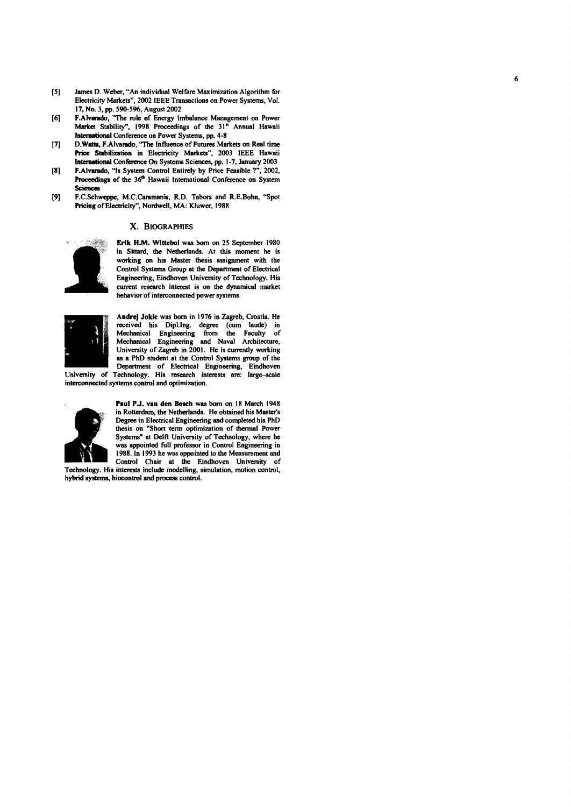- [5] James D. Weber, "An individual Welfare Maximization Algorithm for Electricity Markets", 2002 IEEE Transactions on Power Systems, Vol. 17, No.3, pp. 590-596, August 2002
- [6] F.Alvarado, "The role of Energy Imbalance Management on Power Market Stability", 1998 Proceedings of the 31<sup>st</sup> Annual Hawaii International Conference on Power Systems, pp. 4-8
- [7] D. Watts, F. Alvarado, "The Influence of Futures Markets on Real time Price Stabilization in Electricity Markets", 2003 IEEE Hawaii International Conference On Systems Sciences, pp. 1-7, January 2003
- [8] F.Alvarado, "Is System Control Entirely by Price Feasible 7", 2002, Proceedings of the 36<sup>th</sup> Hawaii International Conference on System **Sciences**
- [9] F.C.Schweppe, M.C.Caramanis, R.D. Tabors and R.E.Bohn, "Spot Pricing of Electricity", Nordwell, MA: Kluwer, 1988

# X. BIOGRAPHIES



Erik H.M. Wlttebol was born on 25 September 1980 in Sittard, the Netherlands. At this moment he is working on his Master thesis assignment with the Control Systems Group at the Department of Electrical Engineering, Eindhoven University of Technology. His current research interest is on the dynamical market behavior of interconnected power systems



Andrej Jokie was born in 1976 in Zagreb, Croatia. He<br>
received his Dipl.lng. degree (cum laude) in<br>
Mechanical Engineering and Naval Architecture,<br>
University of Zagreb in 2001. He is currently working<br>
as a PhD student at Mechanical Engineering from the Faculty of Mechanical Engineering and Naval Architecture, University of zagreb in 2001. He is currently working as a PhD student at the Control Systems group of the

University of Technology. His research interests are: large-scale



Interconnected systems control and optimization.<br>
The Paul P.J. van den Bosch was<br>
in Rotterdam, the Netherlands.<br>
Degree in Electrical Engineerin<br>
thesis on "Short term optimizies" at Delft University Paul P.J. van den Bosch was born on 18 March 1948 in Rotterdam, the Netherlands. He obtained his Master's<br>Degree in Electrical Engineering and completed his PhD<br>thesis on "Short term optimization of thermal Power<br>Systems" at Delft University of Technology, where he<br>1988. in Rotterdam, the Netherlands. He obtained his Master's Degree in Electrical Engineering and completed his PhD thesis on "Short term optimization of thermal Power Systems" at Delft University of Technology, where he was appointed full professor in Control Engineering in 1988. In 1993 he was appointed to the Measurement and Control Chair at the Eindhoven University of

hybrid systems, biocontrol and process control.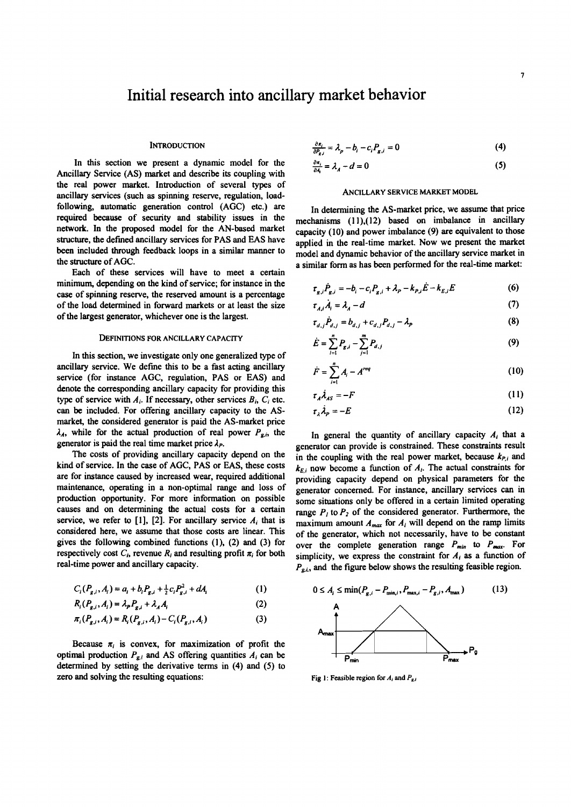# Initial research into ancillary market behavior

#### **INTRODUCTION**

In this section we present a dynamic model for the Ancillary Service (AS) market and describe its coupling with the real power market. Introduction of several types of ancillary services (such as spinning reserve, regulation, loadfollowing, automatic generation control (AGC) etc.) are required because of security and stability issues in the network. In the proposed model for the AN-based market structure, the defined ancillary services for PAS and EAS have been included through feedback loops in a similar manner to the structure of AGC.

Each of these services will have to meet a certain minimum, depending on the kind of service; for instance in the case of spinning reserve, the reserved amount is a percentage of the load determined in forward markets or at least the size of the largest generator, whichever one is the largest.

#### DEFINITIONS FOR ANCILLARY CAPACITY

In this section, we investigate only one generalized type of ancillary service. We define this to be a fast acting ancillary service (for instance AGC, regulation, PAS or EAS) and denote the corresponding ancillary capacity for providing this type of service with  $A_i$ . If necessary, other services  $B_i$ ,  $C_i$  etc. can be included. For offering ancillary capacity to the ASmarket, the considered generator is paid the AS-market price  $\lambda_A$ , while for the actual production of real power  $P_{g,i}$ , the generator is paid the real time market price *lp.*

The costs of providing ancillary capacity depend on the kind of service. In the case of AGC, PAS or EAS, these costs are for instance caused by increased wear, required additional maintenance, operating in a non-optimal range and loss of production opportunity. For more information on possible causes and on determining the actual costs for a certain service, we refer to [1], [2]. For ancillary service  $A_i$  that is considered here, we assume that those costs are linear. This gives the following combined functions (I), (2) and (3) for respectively cost  $C_i$ , revenue  $R_i$  and resulting profit  $\pi_i$  for both real-time power and ancillary capacity.

$$
C_i(P_{g,i}, A_i) = a_i + b_i P_{g,i} + \frac{1}{2} c_i P_{g,i}^2 + dA_i
$$
 (1)

$$
R_i(P_{g,i}, A_i) = \lambda_p P_{g,i} + \lambda_A A_i
$$
 (2)

$$
\pi_i(P_{g,i}, A_i) = R_i(P_{g,i}, A_i) - C_i(P_{g,i}, A_i)
$$
 (3)

Because  $\pi_i$  is convex, for maximization of profit the optimal production  $P_{g,i}$  and AS offering quantities  $A_i$  can be determined by setting the derivative terms in (4) and (5) to zero and solving the resulting equations:

$$
\frac{\partial \pi_i}{\partial P_{g,i}} = \lambda_p - b_i - c_i P_{g,i} = 0 \tag{4}
$$

$$
\frac{\partial \pi_i}{\partial \mathcal{A}_i} = \lambda_A - d = 0 \tag{5}
$$

#### ANCILLARY SERVICE MARKET MODEL

In determining the AS-market price, we assume that price mechanisms (11),(12) based on imbalance in ancillary capacity (10) and power imbalance (9) are equivalent to those applied in the real-time market. Now we present the market model and dynamic behavior of the ancillary service market in a similar form as has been performed for the real-time market:

$$
\tau_{g,i}\dot{P}_{g,i} = -b_i - c_i P_{g,i} + \lambda_p - k_{p,i}\dot{E} - k_{E,i}E
$$
 (6)

$$
\tau_{A,i} \dot{A}_i = \lambda_A - d \tag{7}
$$

$$
\tau_{d,j} \dot{P}_{d,j} = b_{d,j} + c_{d,j} P_{d,j} - \lambda_P
$$
\n(8)

$$
\dot{E} = \sum_{i=1}^{n} P_{g,i} - \sum_{j=1}^{m} P_{d,j} \tag{9}
$$

$$
\dot{F} = \sum_{i=1}^{n} A_i - A^{req} \tag{10}
$$

$$
\tau_A \dot{\lambda}_{AS} = -F \tag{11}
$$

$$
\tau_{\lambda} \dot{\lambda}_P = -E \tag{12}
$$

In general the quantity of ancillary capacity  $A_i$  that a generator can provide is constrained. These constraints result in the coupling with the real power market, because  $k_{P,i}$  and  $k_{E,i}$  now become a function of  $A_i$ . The actual constraints for providing capacity depend on physical parameters for the generator concerned. For instance, ancillary services can in some situations only be offered in a certain limited operating range  $P_1$  to  $P_2$  of the considered generator. Furthermore, the maximum amount  $A_{max}$  for  $A_i$  will depend on the ramp limits of the generator, which not necessarily, have to be constant over the complete generation range  $P_{min}$  to  $P_{max}$ . For simplicity, we express the constraint for  $A_i$  as a function of  $P_{g,i}$ , and the figure below shows the resulting feasible region.

$$
0 \le A_i \le \min(P_{g,i} - P_{\min,i}, P_{\max,i} - P_{g,i}, A_{\max})
$$
(13)  
A  
Ansx  
P<sub>min</sub>

Fig 1: Feasible region for  $A_i$  and  $P_{g,i}$